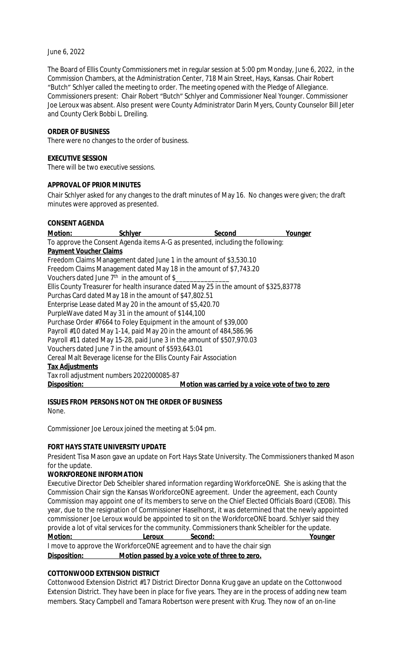#### June 6, 2022

The Board of Ellis County Commissioners met in regular session at 5:00 pm Monday, June 6, 2022, in the Commission Chambers, at the Administration Center, 718 Main Street, Hays, Kansas. Chair Robert "Butch" Schlyer called the meeting to order. The meeting opened with the Pledge of Allegiance. Commissioners present: Chair Robert "Butch" Schlyer and Commissioner Neal Younger. Commissioner Joe Leroux was absent. Also present were County Administrator Darin Myers, County Counselor Bill Jeter and County Clerk Bobbi L. Dreiling.

#### **ORDER OF BUSINESS**

There were no changes to the order of business.

#### **EXECUTIVE SESSION**

There will be two executive sessions.

### **APPROVAL OF PRIOR MINUTES**

Chair Schlyer asked for any changes to the draft minutes of May 16. No changes were given; the draft minutes were approved as presented.

### **CONSENT AGENDA**

<u>Motion: Schlyer Schlyer Second Second Younger Second</u> To approve the Consent Agenda items A-G as presented, including the following: **Payment Voucher Claims** Freedom Claims Management dated June 1 in the amount of \$3,530.10 Freedom Claims Management dated May 18 in the amount of \$7,743.20 Vouchers dated June 7<sup>th</sup> in the amount of \$\_\_\_\_\_\_\_\_\_\_\_\_\_\_\_\_\_\_ Ellis County Treasurer for health insurance dated May 25 in the amount of \$325,83778 Purchas Card dated May 18 in the amount of \$47,802.51 Enterprise Lease dated May 20 in the amount of \$5,420.70 PurpleWave dated May 31 in the amount of \$144,100 Purchase Order #7664 to Foley Equipment in the amount of \$39,000 Payroll #10 dated May 1-14, paid May 20 in the amount of 484,586.96 Payroll #11 dated May 15-28, paid June 3 in the amount of \$507,970.03 Vouchers dated June 7 in the amount of \$593,643.01 Cereal Malt Beverage license for the Ellis County Fair Association **Tax Adjustments** Tax roll adjustment numbers 2022000085-87 **Disposition: Motion was carried by a voice vote of two to zero**

### **ISSUES FROM PERSONS NOT ON THE ORDER OF BUSINESS**

None.

Commissioner Joe Leroux joined the meeting at 5:04 pm.

### **FORT HAYS STATE UNIVERSITY UPDATE**

President Tisa Mason gave an update on Fort Hays State University. The Commissioners thanked Mason for the update.

### **WORKFOREONE INFORMATION**

Executive Director Deb Scheibler shared information regarding WorkforceONE. She is asking that the Commission Chair sign the Kansas WorkforceONE agreement. Under the agreement, each County Commission may appoint one of its members to serve on the Chief Elected Officials Board (CEOB). This year, due to the resignation of Commissioner Haselhorst, it was determined that the newly appointed commissioner Joe Leroux would be appointed to sit on the WorkforceONE board. Schlyer said they provide a lot of vital services for the community. Commissioners thank Scheibler for the update. **Motion: Leroux Second: Younger** I move to approve the WorkforceONE agreement and to have the chair sign **Disposition: Motion passed by a voice vote of three to zero.**

### **COTTONWOOD EXTENSION DISTRICT**

Cottonwood Extension District #17 District Director Donna Krug gave an update on the Cottonwood Extension District. They have been in place for five years. They are in the process of adding new team members. Stacy Campbell and Tamara Robertson were present with Krug. They now of an on-line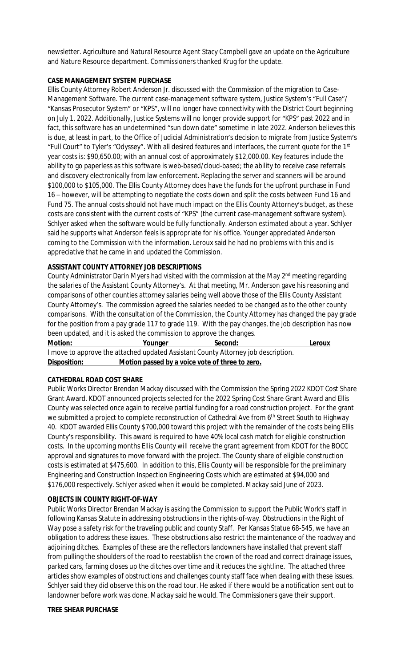newsletter. Agriculture and Natural Resource Agent Stacy Campbell gave an update on the Agriculture and Nature Resource department. Commissioners thanked Krug for the update.

### **CASE MANAGEMENT SYSTEM PURCHASE**

Ellis County Attorney Robert Anderson Jr. discussed with the Commission of the migration to Case-Management Software. The current case-management software system, Justice System's "Full Case"/ "Kansas Prosecutor System" or "KPS", will no longer have connectivity with the District Court beginning on July 1, 2022. Additionally, Justice Systems will no longer provide support for "KPS" past 2022 and in fact, this software has an undetermined "sun down date" sometime in late 2022. Anderson believes this is due, at least in part, to the Office of Judicial Administration's decision to migrate from Justice System's "Full Court" to Tyler's "Odyssey". With all desired features and interfaces, the current quote for the 1st year costs is: \$90,650.00; with an annual cost of approximately \$12,000.00. Key features include the ability to go paperless as this software is web-based/cloud-based; the ability to receive case referrals and discovery electronically from law enforcement. Replacing the server and scanners will be around \$100,000 to \$105,000. The Ellis County Attorney does have the funds for the upfront purchase in Fund 16 – however, will be attempting to negotiate the costs down and split the costs between Fund 16 and Fund 75. The annual costs should not have much impact on the Ellis County Attorney's budget, as these costs are consistent with the current costs of "KPS" (the current case-management software system). Schlyer asked when the software would be fully functionally. Anderson estimated about a year. Schlyer said he supports what Anderson feels is appropriate for his office. Younger appreciated Anderson coming to the Commission with the information. Leroux said he had no problems with this and is appreciative that he came in and updated the Commission.

# **ASSISTANT COUNTY ATTORNEY JOB DESCRIPTIONS**

County Administrator Darin Myers had visited with the commission at the May 2<sup>nd</sup> meeting regarding the salaries of the Assistant County Attorney's. At that meeting, Mr. Anderson gave his reasoning and comparisons of other counties attorney salaries being well above those of the Ellis County Assistant County Attorney's. The commission agreed the salaries needed to be changed as to the other county comparisons. With the consultation of the Commission, the County Attorney has changed the pay grade for the position from a pay grade 117 to grade 119. With the pay changes, the job description has now been updated, and it is asked the commission to approve the changes.

**Motion: Younger Second: Leroux** I move to approve the attached updated Assistant County Attorney job description. **Disposition: Motion passed by a voice vote of three to zero.**

### **CATHEDRAL ROAD COST SHARE**

Public Works Director Brendan Mackay discussed with the Commission the Spring 2022 KDOT Cost Share Grant Award. KDOT announced projects selected for the 2022 Spring Cost Share Grant Award and Ellis County was selected once again to receive partial funding for a road construction project. For the grant we submitted a project to complete reconstruction of Cathedral Ave from 6<sup>th</sup> Street South to Highway 40. KDOT awarded Ellis County \$700,000 toward this project with the remainder of the costs being Ellis County's responsibility. This award is required to have 40% local cash match for eligible construction costs. In the upcoming months Ellis County will receive the grant agreement from KDOT for the BOCC approval and signatures to move forward with the project. The County share of eligible construction costs is estimated at \$475,600. In addition to this, Ellis County will be responsible for the preliminary Engineering and Construction Inspection Engineering Costs which are estimated at \$94,000 and \$176,000 respectively. Schlyer asked when it would be completed. Mackay said June of 2023.

### **OBJECTS IN COUNTY RIGHT-OF-WAY**

Public Works Director Brendan Mackay is asking the Commission to support the Public Work's staff in following Kansas Statute in addressing obstructions in the rights-of-way. Obstructions in the Right of Way pose a safety risk for the traveling public and county Staff. Per Kansas Statue 68-545, we have an obligation to address these issues. These obstructions also restrict the maintenance of the roadway and adjoining ditches. Examples of these are the reflectors landowners have installed that prevent staff from pulling the shoulders of the road to reestablish the crown of the road and correct drainage issues, parked cars, farming closes up the ditches over time and it reduces the sightline. The attached three articles show examples of obstructions and challenges county staff face when dealing with these issues. Schlyer said they did observe this on the road tour. He asked if there would be a notification sent out to landowner before work was done. Mackay said he would. The Commissioners gave their support.

### **TREE SHEAR PURCHASE**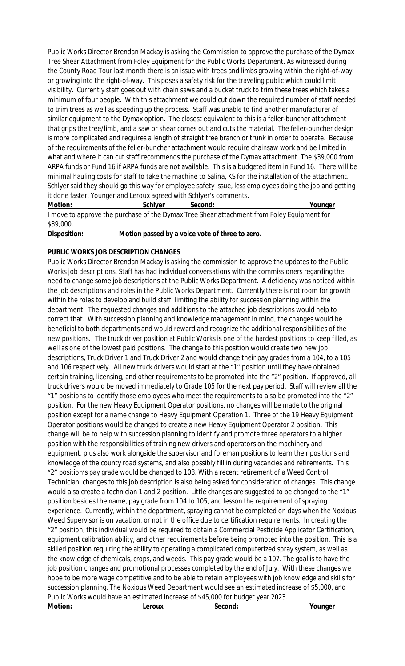Public Works Director Brendan Mackay is asking the Commission to approve the purchase of the Dymax Tree Shear Attachment from Foley Equipment for the Public Works Department. As witnessed during the County Road Tour last month there is an issue with trees and limbs growing within the right-of-way or growing into the right-of-way. This poses a safety risk for the traveling public which could limit visibility. Currently staff goes out with chain saws and a bucket truck to trim these trees which takes a minimum of four people. With this attachment we could cut down the required number of staff needed to trim trees as well as speeding up the process. Staff was unable to find another manufacturer of similar equipment to the Dymax option. The closest equivalent to this is a feller-buncher attachment that grips the tree/limb, and a saw or shear comes out and cuts the material. The feller-buncher design is more complicated and requires a length of straight tree branch or trunk in order to operate. Because of the requirements of the feller-buncher attachment would require chainsaw work and be limited in what and where it can cut staff recommends the purchase of the Dymax attachment. The \$39,000 from ARPA funds or Fund 16 if ARPA funds are not available. This is a budgeted item in Fund 16. There will be minimal hauling costs for staff to take the machine to Salina, KS for the installation of the attachment. Schlyer said they should go this way for employee safety issue, less employees doing the job and getting it done faster. Younger and Leroux agreed with Schlyer's comments.

**Motion: Schlyer Second: Younger** I move to approve the purchase of the Dymax Tree Shear attachment from Foley Equipment for \$39,000.

**Disposition: Motion passed by a voice vote of three to zero.**

## **PUBLIC WORKS JOB DESCRIPTION CHANGES**

Public Works Director Brendan Mackay is asking the commission to approve the updates to the Public Works job descriptions. Staff has had individual conversations with the commissioners regarding the need to change some job descriptions at the Public Works Department. A deficiency was noticed within the job descriptions and roles in the Public Works Department. Currently there is not room for growth within the roles to develop and build staff, limiting the ability for succession planning within the department. The requested changes and additions to the attached job descriptions would help to correct that. With succession planning and knowledge management in mind, the changes would be beneficial to both departments and would reward and recognize the additional responsibilities of the new positions. The truck driver position at Public Works is one of the hardest positions to keep filled, as well as one of the lowest paid positions. The change to this position would create two new job descriptions, Truck Driver 1 and Truck Driver 2 and would change their pay grades from a 104, to a 105 and 106 respectively. All new truck drivers would start at the "1" position until they have obtained certain training, licensing, and other requirements to be promoted into the "2" position. If approved, all truck drivers would be moved immediately to Grade 105 for the next pay period. Staff will review all the "1" positions to identify those employees who meet the requirements to also be promoted into the "2" position. For the new Heavy Equipment Operator positions, no changes will be made to the original position except for a name change to Heavy Equipment Operation 1. Three of the 19 Heavy Equipment Operator positions would be changed to create a new Heavy Equipment Operator 2 position. This change will be to help with succession planning to identify and promote three operators to a higher position with the responsibilities of training new drivers and operators on the machinery and equipment, plus also work alongside the supervisor and foreman positions to learn their positions and knowledge of the county road systems, and also possibly fill in during vacancies and retirements. This "2" position's pay grade would be changed to 108. With a recent retirement of a Weed Control Technician, changes to this job description is also being asked for consideration of changes. This change would also create a technician 1 and 2 position. Little changes are suggested to be changed to the "1" position besides the name, pay grade from 104 to 105, and lesson the requirement of spraying experience. Currently, within the department, spraying cannot be completed on days when the Noxious Weed Supervisor is on vacation, or not in the office due to certification requirements. In creating the "2" position, this individual would be required to obtain a Commercial Pesticide Applicator Certification, equipment calibration ability, and other requirements before being promoted into the position. This is a skilled position requiring the ability to operating a complicated computerized spray system, as well as the knowledge of chemicals, crops, and weeds. This pay grade would be a 107. The goal is to have the job position changes and promotional processes completed by the end of July. With these changes we hope to be more wage competitive and to be able to retain employees with job knowledge and skills for succession planning. The Noxious Weed Department would see an estimated increase of \$5,000, and Public Works would have an estimated increase of \$45,000 for budget year 2023. **Motion: Leroux Second: Younger**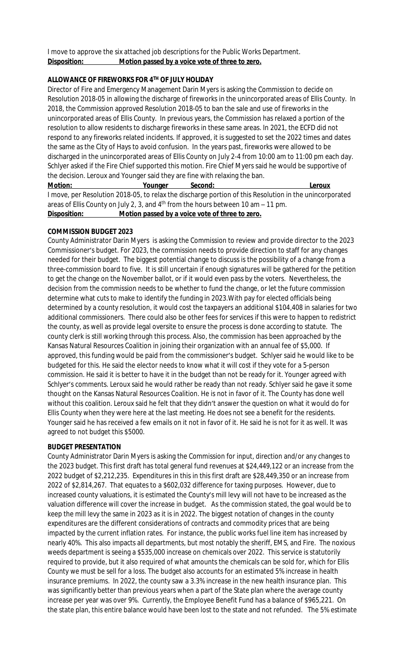I move to approve the six attached job descriptions for the Public Works Department. **Disposition: Motion passed by a voice vote of three to zero.**

# **ALLOWANCE OF FIREWORKS FOR 4TH OF JULY HOLIDAY**

Director of Fire and Emergency Management Darin Myers is asking the Commission to decide on Resolution 2018-05 in allowing the discharge of fireworks in the unincorporated areas of Ellis County. In 2018, the Commission approved Resolution 2018-05 to ban the sale and use of fireworks in the unincorporated areas of Ellis County. In previous years, the Commission has relaxed a portion of the resolution to allow residents to discharge fireworks in these same areas. In 2021, the ECFD did not respond to any fireworks related incidents. If approved, it is suggested to set the 2022 times and dates the same as the City of Hays to avoid confusion. In the years past, fireworks were allowed to be discharged in the unincorporated areas of Ellis County on July 2-4 from 10:00 am to 11:00 pm each day. Schlyer asked if the Fire Chief supported this motion. Fire Chief Myers said he would be supportive of the decision. Leroux and Younger said they are fine with relaxing the ban.

**Motion: Younger Second: Leroux** I move, per Resolution 2018-05, to relax the discharge portion of this Resolution in the unincorporated areas of Ellis County on July 2, 3, and  $4<sup>th</sup>$  from the hours between 10 am  $-$  11 pm. **Disposition: Motion passed by a voice vote of three to zero.**

#### **COMMISSION BUDGET 2023**

County Administrator Darin Myers is asking the Commission to review and provide director to the 2023 Commissioner's budget. For 2023, the commission needs to provide direction to staff for any changes needed for their budget. The biggest potential change to discuss is the possibility of a change from a three-commission board to five. It is still uncertain if enough signatures will be gathered for the petition to get the change on the November ballot, or if it would even pass by the voters. Nevertheless, the decision from the commission needs to be whether to fund the change, or let the future commission determine what cuts to make to identify the funding in 2023.With pay for elected officials being determined by a county resolution, it would cost the taxpayers an additional \$104,408 in salaries for two additional commissioners. There could also be other fees for services if this were to happen to redistrict the county, as well as provide legal oversite to ensure the process is done according to statute. The county clerk is still working through this process. Also, the commission has been approached by the Kansas Natural Resources Coalition in joining their organization with an annual fee of \$5,000. If approved, this funding would be paid from the commissioner's budget. Schlyer said he would like to be budgeted for this. He said the elector needs to know what it will cost if they vote for a 5-person commission. He said it is better to have it in the budget than not be ready for it. Younger agreed with Schlyer's comments. Leroux said he would rather be ready than not ready. Schlyer said he gave it some thought on the Kansas Natural Resources Coalition. He is not in favor of it. The County has done well without this coalition. Leroux said he felt that they didn't answer the question on what it would do for Ellis County when they were here at the last meeting. He does not see a benefit for the residents. Younger said he has received a few emails on it not in favor of it. He said he is not for it as well. It was agreed to not budget this \$5000.

#### **BUDGET PRESENTATION**

County Administrator Darin Myers is asking the Commission for input, direction and/or any changes to the 2023 budget. This first draft has total general fund revenues at \$24,449,122 or an increase from the 2022 budget of \$2,212,235. Expenditures in this in this first draft are \$28,449,350 or an increase from 2022 of \$2,814,267. That equates to a \$602,032 difference for taxing purposes. However, due to increased county valuations, it is estimated the County's mill levy will not have to be increased as the valuation difference will cover the increase in budget. As the commission stated, the goal would be to keep the mill levy the same in 2023 as it is in 2022. The biggest notation of changes in the county expenditures are the different considerations of contracts and commodity prices that are being impacted by the current inflation rates. For instance, the public works fuel line item has increased by nearly 40%. This also impacts all departments, but most notably the sheriff, EMS, and Fire. The noxious weeds department is seeing a \$535,000 increase on chemicals over 2022. This service is statutorily required to provide, but it also required of what amounts the chemicals can be sold for, which for Ellis County we must be sell for a loss. The budget also accounts for an estimated 5% increase in health insurance premiums. In 2022, the county saw a 3.3% increase in the new health insurance plan. This was significantly better than previous years when a part of the State plan where the average county increase per year was over 9%. Currently, the Employee Benefit Fund has a balance of \$965,221. On the state plan, this entire balance would have been lost to the state and not refunded. The 5% estimate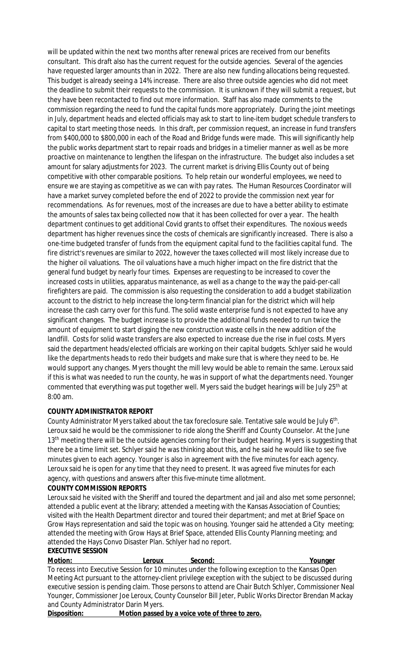will be updated within the next two months after renewal prices are received from our benefits consultant. This draft also has the current request for the outside agencies. Several of the agencies have requested larger amounts than in 2022. There are also new funding allocations being requested. This budget is already seeing a 14% increase. There are also three outside agencies who did not meet the deadline to submit their requests to the commission. It is unknown if they will submit a request, but they have been recontacted to find out more information. Staff has also made comments to the commission regarding the need to fund the capital funds more appropriately. During the joint meetings in July, department heads and elected officials may ask to start to line-item budget schedule transfers to capital to start meeting those needs. In this draft, per commission request, an increase in fund transfers from \$400,000 to \$800,000 in each of the Road and Bridge funds were made. This will significantly help the public works department start to repair roads and bridges in a timelier manner as well as be more proactive on maintenance to lengthen the lifespan on the infrastructure. The budget also includes a set amount for salary adjustments for 2023. The current market is driving Ellis County out of being competitive with other comparable positions. To help retain our wonderful employees, we need to ensure we are staying as competitive as we can with pay rates. The Human Resources Coordinator will have a market survey completed before the end of 2022 to provide the commission next year for recommendations. As for revenues, most of the increases are due to have a better ability to estimate the amounts of sales tax being collected now that it has been collected for over a year. The health department continues to get additional Covid grants to offset their expenditures. The noxious weeds department has higher revenues since the costs of chemicals are significantly increased. There is also a one-time budgeted transfer of funds from the equipment capital fund to the facilities capital fund. The fire district's revenues are similar to 2022, however the taxes collected will most likely increase due to the higher oil valuations. The oil valuations have a much higher impact on the fire district that the general fund budget by nearly four times. Expenses are requesting to be increased to cover the increased costs in utilities, apparatus maintenance, as well as a change to the way the paid-per-call firefighters are paid. The commission is also requesting the consideration to add a budget stabilization account to the district to help increase the long-term financial plan for the district which will help increase the cash carry over for this fund. The solid waste enterprise fund is not expected to have any significant changes. The budget increase is to provide the additional funds needed to run twice the amount of equipment to start digging the new construction waste cells in the new addition of the landfill. Costs for solid waste transfers are also expected to increase due the rise in fuel costs. Myers said the department heads/elected officials are working on their capital budgets. Schlyer said he would like the departments heads to redo their budgets and make sure that is where they need to be. He would support any changes. Myers thought the mill levy would be able to remain the same. Leroux said if this is what was needed to run the county, he was in support of what the departments need. Younger commented that everything was put together well. Myers said the budget hearings will be July 25<sup>th</sup> at 8:00 am.

### **COUNTY ADMINISTRATOR REPORT**

County Administrator Myers talked about the tax foreclosure sale. Tentative sale would be July 6<sup>th</sup>. Leroux said he would be the commissioner to ride along the Sheriff and County Counselor. At the June 13<sup>th</sup> meeting there will be the outside agencies coming for their budget hearing. Myers is suggesting that there be a time limit set. Schlyer said he was thinking about this, and he said he would like to see five minutes given to each agency. Younger is also in agreement with the five minutes for each agency. Leroux said he is open for any time that they need to present. It was agreed five minutes for each agency, with questions and answers after this five-minute time allotment.

# **COUNTY COMMISSION REPORTS**

Leroux said he visited with the Sheriff and toured the department and jail and also met some personnel; attended a public event at the library; attended a meeting with the Kansas Association of Counties; visited with the Health Department director and toured their department; and met at Brief Space on Grow Hays representation and said the topic was on housing. Younger said he attended a City meeting; attended the meeting with Grow Hays at Brief Space, attended Ellis County Planning meeting; and attended the Hays Convo Disaster Plan. Schlyer had no report.

# **EXECUTIVE SESSION**

**Motion: Leroux Second: Younger** To recess into Executive Session for 10 minutes under the following exception to the Kansas Open Meeting Act pursuant to the attorney-client privilege exception with the subject to be discussed during executive session is pending claim. Those persons to attend are Chair Butch Schlyer, Commissioner Neal Younger, Commissioner Joe Leroux, County Counselor Bill Jeter, Public Works Director Brendan Mackay and County Administrator Darin Myers.

**Disposition: Motion passed by a voice vote of three to zero.**